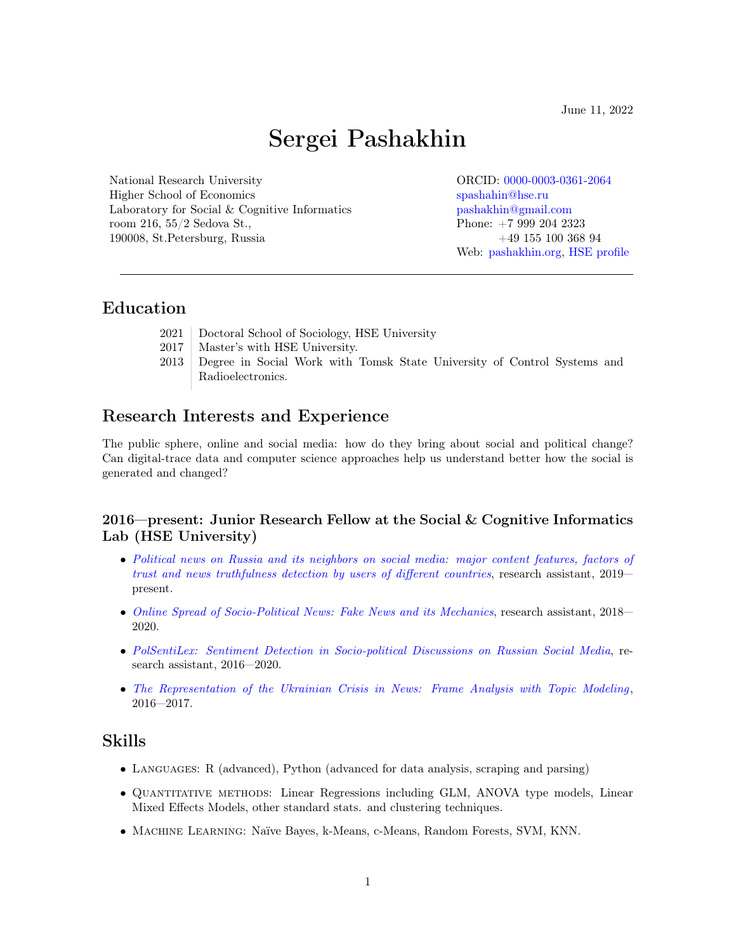June 11, 2022

# Sergei Pashakhin

National Research University ORCID: [0000-0003-0361-2064](https://orcid.org/0000-0003-0361-2064) Higher School of Economics [spashahin@hse.ru](mailto:spashahin@hse.ru) Laboratory for Social & Cognitive Informatics [pashakhin@gmail.com](mailto:pashakhin@gmail.com) room 216, 55/2 Sedova St., Phone: +7 999 204 2323 190008, St.Petersburg, Russia +49 155 100 368 94

Web: [pashakhin.org,](https://www.pashakhin.org) [HSE profile](https://www.hse.ru/en/staff/pashakhin)

# Education

- 2021 Doctoral School of Sociology, HSE University
- 2017 | Master's with HSE University.
- 2013 Degree in Social Work with Tomsk State University of Control Systems and Radioelectronics.

# Research Interests and Experience

The public sphere, online and social media: how do they bring about social and political change? Can digital-trace data and computer science approaches help us understand better how the social is generated and changed?

### 2016—present: Junior Research Fellow at the Social & Cognitive Informatics Lab (HSE University)

- ∙ [Political news on Russia and its neighbors on social media: major content features, factors of](https://rscf.ru/en/contests/search-projects/19-18-00206/) [trust and news truthfulness detection by users of different countries](https://rscf.ru/en/contests/search-projects/19-18-00206/), research assistant, 2019 present.
- ∙ [Online Spread of Socio-Political News: Fake News and its Mechanics](http://www.rfbr.ru/rffi/ru/project_search/o_2071264), research assistant, 2018— 2020.
- ∙ [PolSentiLex: Sentiment Detection in Socio-political Discussions on Russian Social Media](http://doi.org/10.1007/978-3-030-59082-6_1), research assistant, 2016—2020.
- ∙ [The Representation of the Ukrainian Crisis in News: Frame Analysis with Topic Modeling](https://www.hse.ru/en/edu/vkr/206752498) , 2016—2017.

# Skills

- ∙ Languages: R (advanced), Python (advanced for data analysis, scraping and parsing)
- ∙ Quantitative methods: Linear Regressions including GLM, ANOVA type models, Linear Mixed Effects Models, other standard stats. and clustering techniques.
- ∙ Machine Learning: Na¨ıve Bayes, k-Means, c-Means, Random Forests, SVM, KNN.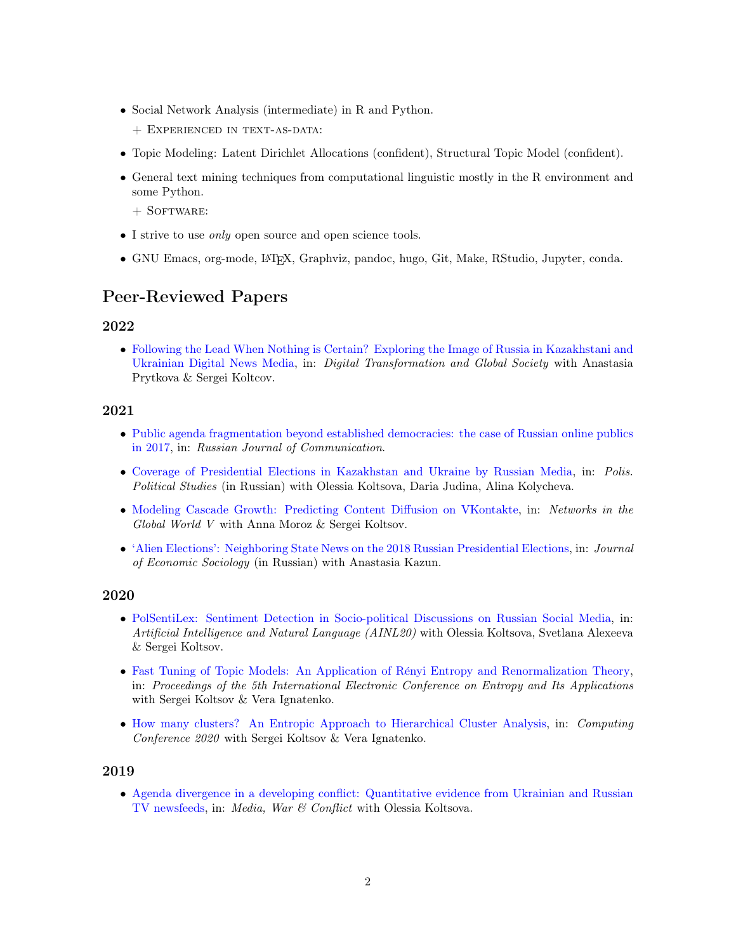- ∙ Social Network Analysis (intermediate) in R and Python.
	- + Experienced in text-as-data:
- ∙ Topic Modeling: Latent Dirichlet Allocations (confident), Structural Topic Model (confident).
- ∙ General text mining techniques from computational linguistic mostly in the R environment and some Python.
	- $+$  SOFTWARE:
- ∙ I strive to use only open source and open science tools.
- ∙ GNU Emacs, org-mode, LATEX, Graphviz, pandoc, hugo, Git, Make, RStudio, Jupyter, conda.

# Peer-Reviewed Papers

#### 2022

∙ [Following the Lead When Nothing is Certain? Exploring the Image of Russia in Kazakhstani and](http://doi.org/10.1007/978-3-030-93715-7_27) [Ukrainian Digital News Media,](http://doi.org/10.1007/978-3-030-93715-7_27) in: Digital Transformation and Global Society with Anastasia Prytkova & Sergei Koltcov.

#### 2021

- ∙ [Public agenda fragmentation beyond established democracies: the case of Russian online publics](https://doi.org/10.1080/19409419.2021.1995277) [in 2017,](https://doi.org/10.1080/19409419.2021.1995277) in: Russian Journal of Communication.
- ∙ [Coverage of Presidential Elections in Kazakhstan and Ukraine by Russian Media,](https://doi.org/10.17976/jpps/2021.06.07) in: Polis. Political Studies (in Russian) with Olessia Koltsova, Daria Judina, Alina Kolycheva.
- ∙ [Modeling Cascade Growth: Predicting Content Diffusion on VKontakte,](http://doi.org/10.1007/978-3-030-64877-0_12) in: Networks in the Global World V with Anna Moroz & Sergei Koltsov.
- ∙ ['Alien Elections': Neighboring State News on the 2018 Russian Presidential Elections,](http://doi.org/10.17323/1726-3247-2021-1-71-91) in: Journal of Economic Sociology (in Russian) with Anastasia Kazun.

#### 2020

- ∙ [PolSentiLex: Sentiment Detection in Socio-political Discussions on Russian Social Media,](http://doi.org/10.1007/978-3-030-59082-6_1) in: Artificial Intelligence and Natural Language (AINL20) with Olessia Koltsova, Svetlana Alexeeva & Sergei Koltsov.
- ∙ [Fast Tuning of Topic Models: An Application of R´enyi Entropy and Renormalization Theory,](https://www.mdpi.com/2504-3900/46/1/5) in: Proceedings of the 5th International Electronic Conference on Entropy and Its Applications with Sergei Koltsov & Vera Ignatenko.
- ∙ [How many clusters? An Entropic Approach to Hierarchical Cluster Analysis,](http://doi.org/10.1007/978-3-030-52243-8_40) in: Computing Conference 2020 with Sergei Koltsov & Vera Ignatenko.

### 2019

∙ [Agenda divergence in a developing conflict: Quantitative evidence from Ukrainian and Russian](https://doi.org/10.1177/1750635219829876) [TV newsfeeds,](https://doi.org/10.1177/1750635219829876) in: Media, War & Conflict with Olessia Koltsova.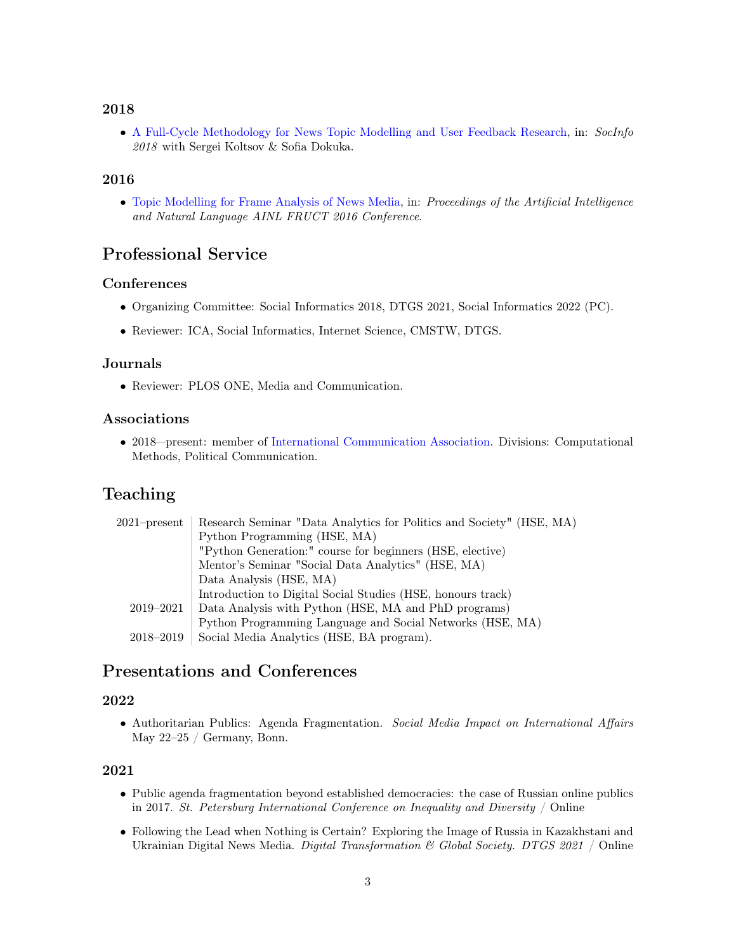### 2018

∙ [A Full-Cycle Methodology for News Topic Modelling and User Feedback Research,](http://doi.org/10.1007/978-3-030-01129-1_19) in: SocInfo 2018 with Sergei Koltsov & Sofia Dokuka.

### 2016

∙ [Topic Modelling for Frame Analysis of News Media,](https://fruct.org/publications/abstract-AINL-FRUCT-2016/files/Pas.pdf) in: Proceedings of the Artificial Intelligence and Natural Language AINL FRUCT 2016 Conference.

# Professional Service

### **Conferences**

- ∙ Organizing Committee: Social Informatics 2018, DTGS 2021, Social Informatics 2022 (PC).
- ∙ Reviewer: ICA, Social Informatics, Internet Science, CMSTW, DTGS.

### Journals

∙ Reviewer: PLOS ONE, Media and Communication.

### Associations

∙ 2018—present: member of [International Communication Association.](https://www.icahdq.org/member/pashakhin) Divisions: Computational Methods, Political Communication.

# Teaching

| $2021$ -present | Research Seminar "Data Analytics for Politics and Society" (HSE, MA) |
|-----------------|----------------------------------------------------------------------|
|                 | Python Programming (HSE, MA)                                         |
|                 | "Python Generation:" course for beginners (HSE, elective)            |
|                 | Mentor's Seminar "Social Data Analytics" (HSE, MA)                   |
|                 | Data Analysis (HSE, MA)                                              |
|                 | Introduction to Digital Social Studies (HSE, honours track)          |
| 2019-2021       | Data Analysis with Python (HSE, MA and PhD programs)                 |
|                 | Python Programming Language and Social Networks (HSE, MA)            |
| 2018–2019       | Social Media Analytics (HSE, BA program).                            |

# Presentations and Conferences

### 2022

∙ Authoritarian Publics: Agenda Fragmentation. Social Media Impact on International Affairs May 22–25 / Germany, Bonn.

### 2021

- ∙ Public agenda fragmentation beyond established democracies: the case of Russian online publics in 2017. St. Petersburg International Conference on Inequality and Diversity / Online
- ∙ Following the Lead when Nothing is Certain? Exploring the Image of Russia in Kazakhstani and Ukrainian Digital News Media. *Digital Transformation & Global Society.* DTGS 2021 / Online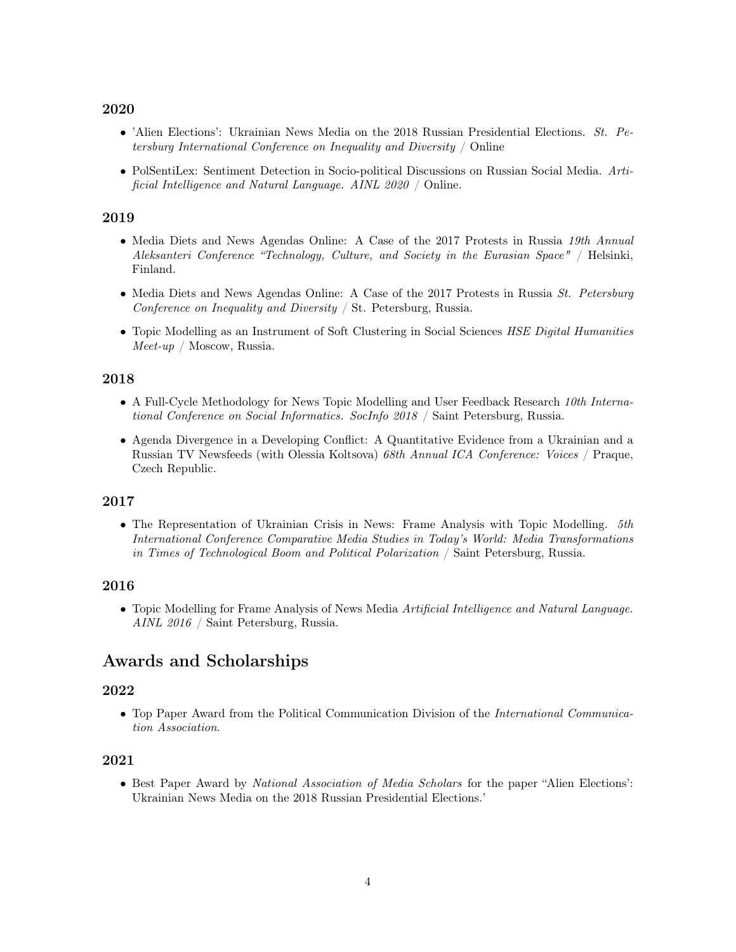#### 2020

- ∙ 'Alien Elections': Ukrainian News Media on the 2018 Russian Presidential Elections. St. Petersburg International Conference on Inequality and Diversity / Online
- ∙ PolSentiLex: Sentiment Detection in Socio-political Discussions on Russian Social Media. Artificial Intelligence and Natural Language. AINL 2020 / Online.

#### 2019

- ∙ Media Diets and News Agendas Online: A Case of the 2017 Protests in Russia 19th Annual Aleksanteri Conference "Technology, Culture, and Society in the Eurasian Space" / Helsinki, Finland.
- ∙ Media Diets and News Agendas Online: A Case of the 2017 Protests in Russia St. Petersburg Conference on Inequality and Diversity / St. Petersburg, Russia.
- ∙ Topic Modelling as an Instrument of Soft Clustering in Social Sciences HSE Digital Humanities  $Mee$ t-up / Moscow, Russia.

### 2018

- ∙ A Full-Cycle Methodology for News Topic Modelling and User Feedback Research 10th International Conference on Social Informatics. SocInfo 2018 / Saint Petersburg, Russia.
- ∙ Agenda Divergence in a Developing Conflict: A Quantitative Evidence from a Ukrainian and a Russian TV Newsfeeds (with Olessia Koltsova) 68th Annual ICA Conference: Voices / Praque, Czech Republic.

#### 2017

∙ The Representation of Ukrainian Crisis in News: Frame Analysis with Topic Modelling. 5th International Conference Comparative Media Studies in Today's World: Media Transformations in Times of Technological Boom and Political Polarization / Saint Petersburg, Russia.

#### 2016

∙ Topic Modelling for Frame Analysis of News Media Artificial Intelligence and Natural Language. AINL 2016 / Saint Petersburg, Russia.

### Awards and Scholarships

#### 2022

∙ Top Paper Award from the Political Communication Division of the International Communication Association.

### 2021

∙ Best Paper Award by National Association of Media Scholars for the paper "Alien Elections': Ukrainian News Media on the 2018 Russian Presidential Elections.'